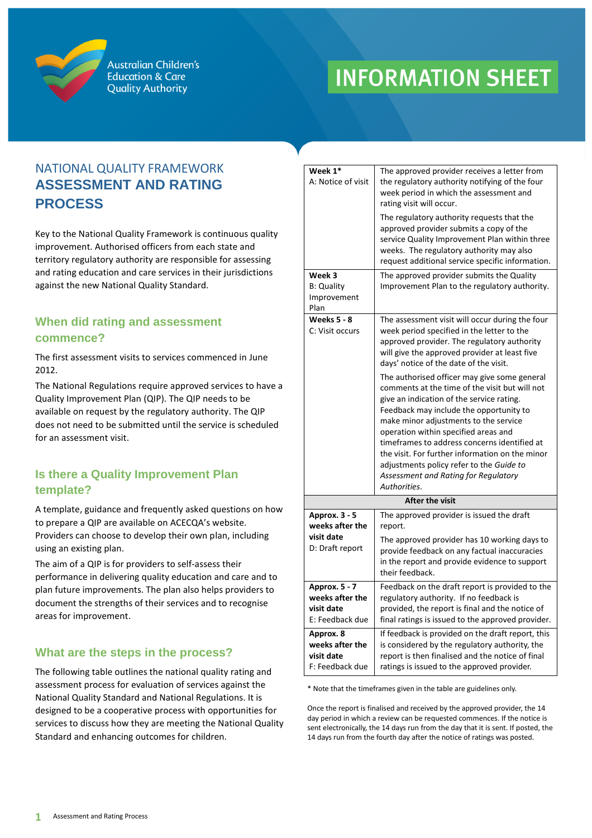

**Australian Children's Education & Care Quality Authority** 

# **INFORMATION SHEET**

## NATIONAL QUALITY FRAMEWORK **ASSESSMENT AND RATING PROCESS**

Key to the National Quality Framework is continuous quality improvement. Authorised officers from each state and territory regulatory authority are responsible for assessing and rating education and care services in their jurisdictions against the new National Quality Standard.

### **When did rating and assessment commence?**

The first assessment visits to services commenced in June 2012.

The [National Regulations](http://acecqa.gov.au/national-quality-framework/national-regulations/) require approved services to have a [Quality Improvement Plan \(](http://acecqa.gov.au/resources-and-templates/)QIP). The QIP needs to be available on request by the regulatory authority. The QIP does not need to be submitted until the service is scheduled for an assessment visit.

## **Is there a Quality Improvement Plan template?**

A template, guidance and frequently asked questions on how to prepare a QIP are available on ACECQA's website. Providers can choose to develop their own plan, including using an existing plan.

The aim of a QIP is for providers to self-assess their performance in delivering quality education and care and to plan future improvements. The plan also helps providers to document the strengths of their services and to recognise areas for improvement.

## **What are the steps in the process?**

The following table outlines the national quality rating and assessment process for evaluation of services against the National Quality Standard and National Regulations. It is designed to be a cooperative process with opportunities for services to discuss how they are meeting the National Quality Standard and enhancing outcomes for children.

| Week 1*<br>A: Notice of visit                                     | The approved provider receives a letter from<br>the regulatory authority notifying of the four<br>week period in which the assessment and<br>rating visit will occur.                                                                                                                                                                                                                                                                                                                                                                                                                                                                                                                                                     |
|-------------------------------------------------------------------|---------------------------------------------------------------------------------------------------------------------------------------------------------------------------------------------------------------------------------------------------------------------------------------------------------------------------------------------------------------------------------------------------------------------------------------------------------------------------------------------------------------------------------------------------------------------------------------------------------------------------------------------------------------------------------------------------------------------------|
|                                                                   | The regulatory authority requests that the<br>approved provider submits a copy of the<br>service Quality Improvement Plan within three<br>weeks. The regulatory authority may also<br>request additional service specific information.                                                                                                                                                                                                                                                                                                                                                                                                                                                                                    |
| Week 3<br><b>B: Quality</b><br>Improvement<br>Plan                | The approved provider submits the Quality<br>Improvement Plan to the regulatory authority.                                                                                                                                                                                                                                                                                                                                                                                                                                                                                                                                                                                                                                |
| <b>Weeks 5 - 8</b><br>C: Visit occurs                             | The assessment visit will occur during the four<br>week period specified in the letter to the<br>approved provider. The regulatory authority<br>will give the approved provider at least five<br>days' notice of the date of the visit.<br>The authorised officer may give some general<br>comments at the time of the visit but will not<br>give an indication of the service rating.<br>Feedback may include the opportunity to<br>make minor adjustments to the service<br>operation within specified areas and<br>timeframes to address concerns identified at<br>the visit. For further information on the minor<br>adjustments policy refer to the Guide to<br>Assessment and Rating for Regulatory<br>Authorities. |
| <b>After the visit</b>                                            |                                                                                                                                                                                                                                                                                                                                                                                                                                                                                                                                                                                                                                                                                                                           |
| Approx. 3 - 5<br>weeks after the<br>visit date<br>D: Draft report | The approved provider is issued the draft<br>report.<br>The approved provider has 10 working days to<br>provide feedback on any factual inaccuracies<br>in the report and provide evidence to support<br>their feedback.                                                                                                                                                                                                                                                                                                                                                                                                                                                                                                  |
| Approx. 5 - 7<br>weeks after the<br>visit date<br>E: Feedback due | Feedback on the draft report is provided to the<br>regulatory authority. If no feedback is<br>provided, the report is final and the notice of<br>final ratings is issued to the approved provider.                                                                                                                                                                                                                                                                                                                                                                                                                                                                                                                        |
| Approx. 8<br>weeks after the<br>visit date<br>F: Feedback due     | If feedback is provided on the draft report, this<br>is considered by the regulatory authority, the<br>report is then finalised and the notice of final<br>ratings is issued to the approved provider.                                                                                                                                                                                                                                                                                                                                                                                                                                                                                                                    |

\* Note that the timeframes given in the table are guidelines only.

Once the report is finalised and received by the approved provider, the 14 day period in which a review can be requested commences. If the notice is sent electronically, the 14 days run from the day that it is sent. If posted, the 14 days run from the fourth day after the notice of ratings was posted.